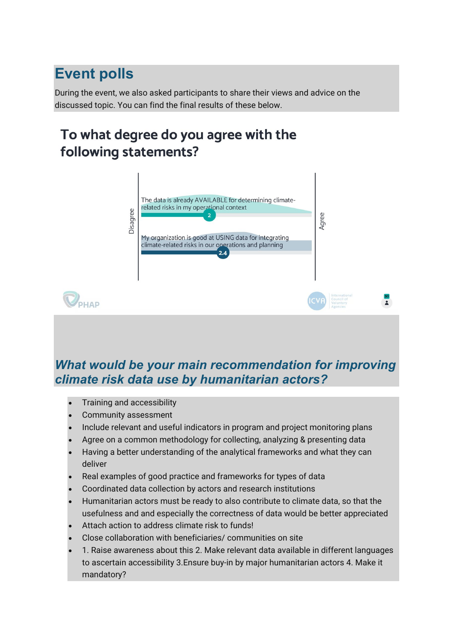## **Event polls**

PHAP

During the event, we also asked participants to share their views and advice on the discussed topic. You can find the final results of these below.

## To what degree do you agree with the following statements?



## *What would be your main recommendation for improving climate risk data use by humanitarian actors?*

- Training and accessibility
- Community assessment
- Include relevant and useful indicators in program and project monitoring plans
- Agree on a common methodology for collecting, analyzing & presenting data
- Having a better understanding of the analytical frameworks and what they can deliver
- Real examples of good practice and frameworks for types of data
- Coordinated data collection by actors and research institutions
- Humanitarian actors must be ready to also contribute to climate data, so that the usefulness and and especially the correctness of data would be better appreciated
- Attach action to address climate risk to funds!
- Close collaboration with beneficiaries/ communities on site
- 1. Raise awareness about this 2. Make relevant data available in different languages to ascertain accessibility 3.Ensure buy-in by major humanitarian actors 4. Make it mandatory?